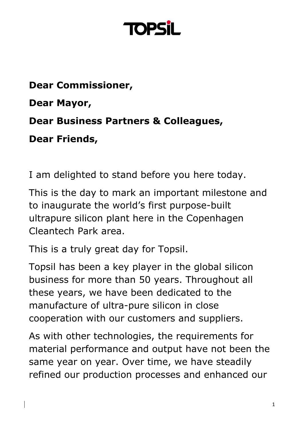### **TOP**

**Dear Commissioner, Dear Mayor, Dear Business Partners & Colleagues, Dear Friends,** 

I am delighted to stand before you here today.

This is the day to mark an important milestone and to inaugurate the world's first purpose-built ultrapure silicon plant here in the Copenhagen Cleantech Park area.

This is a truly great day for Topsil.

Topsil has been a key player in the global silicon business for more than 50 years. Throughout all these years, we have been dedicated to the manufacture of ultra-pure silicon in close cooperation with our customers and suppliers.

As with other technologies, the requirements for material performance and output have not been the same year on year. Over time, we have steadily refined our production processes and enhanced our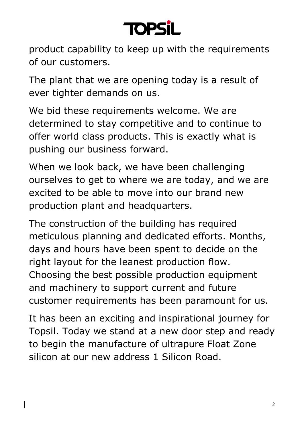### **TOPS**

product capability to keep up with the requirements of our customers.

The plant that we are opening today is a result of ever tighter demands on us.

We bid these requirements welcome. We are determined to stay competitive and to continue to offer world class products. This is exactly what is pushing our business forward.

When we look back, we have been challenging ourselves to get to where we are today, and we are excited to be able to move into our brand new production plant and headquarters.

The construction of the building has required meticulous planning and dedicated efforts. Months, days and hours have been spent to decide on the right layout for the leanest production flow. Choosing the best possible production equipment and machinery to support current and future customer requirements has been paramount for us.

It has been an exciting and inspirational journey for Topsil. Today we stand at a new door step and ready to begin the manufacture of ultrapure Float Zone silicon at our new address 1 Silicon Road.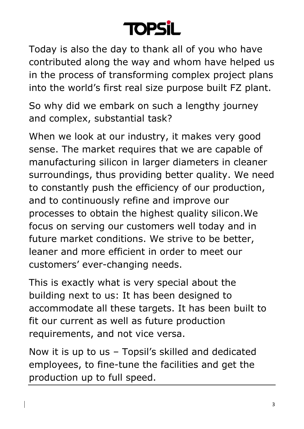

Today is also the day to thank all of you who have contributed along the way and whom have helped us in the process of transforming complex project plans into the world's first real size purpose built FZ plant.

So why did we embark on such a lengthy journey and complex, substantial task?

When we look at our industry, it makes very good sense. The market requires that we are capable of manufacturing silicon in larger diameters in cleaner surroundings, thus providing better quality. We need to constantly push the efficiency of our production, and to continuously refine and improve our processes to obtain the highest quality silicon.We focus on serving our customers well today and in future market conditions. We strive to be better, leaner and more efficient in order to meet our customers' ever-changing needs.

This is exactly what is very special about the building next to us: It has been designed to accommodate all these targets. It has been built to fit our current as well as future production requirements, and not vice versa.

Now it is up to us – Topsil's skilled and dedicated employees, to fine-tune the facilities and get the production up to full speed.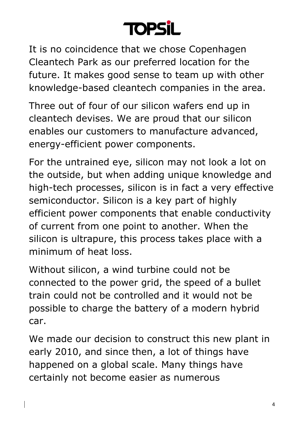

It is no coincidence that we chose Copenhagen Cleantech Park as our preferred location for the future. It makes good sense to team up with other knowledge-based cleantech companies in the area.

Three out of four of our silicon wafers end up in cleantech devises. We are proud that our silicon enables our customers to manufacture advanced, energy-efficient power components.

For the untrained eye, silicon may not look a lot on the outside, but when adding unique knowledge and high-tech processes, silicon is in fact a very effective semiconductor. Silicon is a key part of highly efficient power components that enable conductivity of current from one point to another. When the silicon is ultrapure, this process takes place with a minimum of heat loss.

Without silicon, a wind turbine could not be connected to the power grid, the speed of a bullet train could not be controlled and it would not be possible to charge the battery of a modern hybrid car.

We made our decision to construct this new plant in early 2010, and since then, a lot of things have happened on a global scale. Many things have certainly not become easier as numerous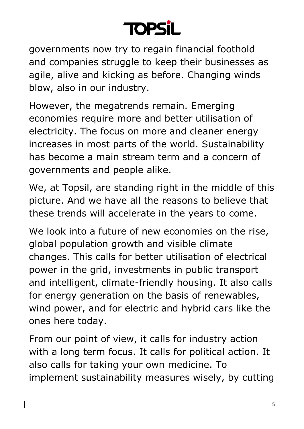# **TOPSI**

governments now try to regain financial foothold and companies struggle to keep their businesses as agile, alive and kicking as before. Changing winds blow, also in our industry.

However, the megatrends remain. Emerging economies require more and better utilisation of electricity. The focus on more and cleaner energy increases in most parts of the world. Sustainability has become a main stream term and a concern of governments and people alike.

We, at Topsil, are standing right in the middle of this picture. And we have all the reasons to believe that these trends will accelerate in the years to come.

We look into a future of new economies on the rise, global population growth and visible climate changes. This calls for better utilisation of electrical power in the grid, investments in public transport and intelligent, climate-friendly housing. It also calls for energy generation on the basis of renewables, wind power, and for electric and hybrid cars like the ones here today.

From our point of view, it calls for industry action with a long term focus. It calls for political action. It also calls for taking your own medicine. To implement sustainability measures wisely, by cutting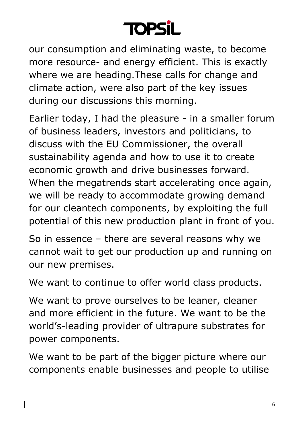### **TOPSil**

our consumption and eliminating waste, to become more resource- and energy efficient. This is exactly where we are heading.These calls for change and climate action, were also part of the key issues during our discussions this morning.

Earlier today, I had the pleasure - in a smaller forum of business leaders, investors and politicians, to discuss with the EU Commissioner, the overall sustainability agenda and how to use it to create economic growth and drive businesses forward. When the megatrends start accelerating once again, we will be ready to accommodate growing demand for our cleantech components, by exploiting the full potential of this new production plant in front of you.

So in essence – there are several reasons why we cannot wait to get our production up and running on our new premises.

We want to continue to offer world class products.

We want to prove ourselves to be leaner, cleaner and more efficient in the future. We want to be the world's-leading provider of ultrapure substrates for power components.

We want to be part of the bigger picture where our components enable businesses and people to utilise